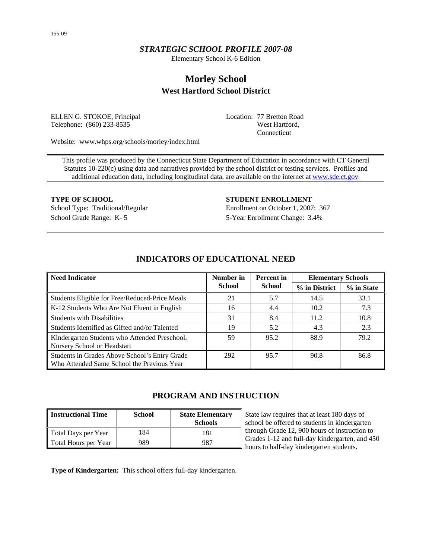## *STRATEGIC SCHOOL PROFILE 2007-08*

Elementary School K-6 Edition

# **Morley School West Hartford School District**

ELLEN G. STOKOE, Principal Telephone: (860) 233-8535

Location: 77 Bretton Road West Hartford, Connecticut

Website: www.whps.org/schools/morley/index.html

This profile was produced by the Connecticut State Department of Education in accordance with CT General Statutes 10-220(c) using data and narratives provided by the school district or testing services. Profiles and additional education data, including longitudinal data, are available on the internet at [www.sde.ct.gov.](http://www.sde.ct.gov/)

School Grade Range: K- 5 5-Year Enrollment Change: 3.4%

**TYPE OF SCHOOL STUDENT ENROLLMENT** School Type: Traditional/Regular Enrollment on October 1, 2007: 367

| <b>Need Indicator</b>                                                                       | Number in<br><b>Percent</b> in |               | <b>Elementary Schools</b> |            |  |
|---------------------------------------------------------------------------------------------|--------------------------------|---------------|---------------------------|------------|--|
|                                                                                             | <b>School</b>                  | <b>School</b> | % in District             | % in State |  |
| Students Eligible for Free/Reduced-Price Meals                                              | 21                             | 5.7           | 14.5                      | 33.1       |  |
| K-12 Students Who Are Not Fluent in English                                                 | 16                             | 4.4           | 10.2                      | 7.3        |  |
| <b>Students with Disabilities</b>                                                           | 31                             | 8.4           | 11.2                      | 10.8       |  |
| Students Identified as Gifted and/or Talented                                               | 19                             | 5.2           | 4.3                       | 2.3        |  |
| Kindergarten Students who Attended Preschool,<br>Nursery School or Headstart                | 59                             | 95.2          | 88.9                      | 79.2       |  |
| Students in Grades Above School's Entry Grade<br>Who Attended Same School the Previous Year | 292                            | 95.7          | 90.8                      | 86.8       |  |

## **INDICATORS OF EDUCATIONAL NEED**

## **PROGRAM AND INSTRUCTION**

| <b>Instructional Time</b> | <b>School</b> | <b>State Elementary</b><br><b>Schools</b> |
|---------------------------|---------------|-------------------------------------------|
| Total Days per Year       | 184           | 181                                       |
| Total Hours per Year      | 989           | 987                                       |

State law requires that at least 180 days of school be offered to students in kindergarten through Grade 12, 900 hours of instruction to Grades 1-12 and full-day kindergarten, and 450 hours to half-day kindergarten students.

**Type of Kindergarten:** This school offers full-day kindergarten.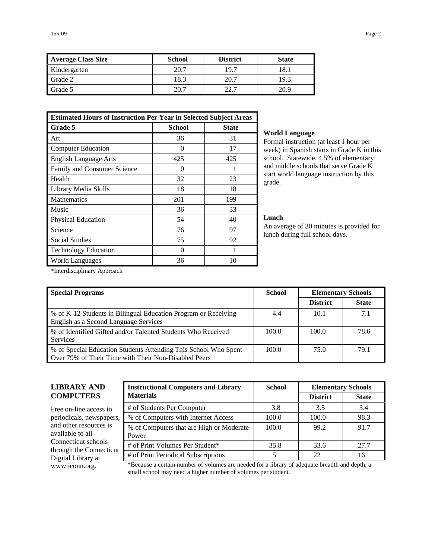| <b>Average Class Size</b> | <b>School</b> | <b>District</b> | <b>State</b> |
|---------------------------|---------------|-----------------|--------------|
| Kindergarten              | 20.7          | 19.7            | 18.1         |
| Grade 2                   | 18.3          | 20.7            | 19.3         |
| Grade 5                   | 20.7          | 22.7            | 20.9         |

| <b>Estimated Hours of Instruction Per Year in Selected Subject Areas</b> |                   |              |  |  |  |
|--------------------------------------------------------------------------|-------------------|--------------|--|--|--|
| Grade 5                                                                  | <b>School</b>     | <b>State</b> |  |  |  |
| Art                                                                      | 36                | 31           |  |  |  |
| <b>Computer Education</b>                                                | $\mathbf{\Omega}$ | 17           |  |  |  |
| <b>English Language Arts</b>                                             | 425               | 425          |  |  |  |
| Family and Consumer Science                                              | $\theta$          |              |  |  |  |
| Health                                                                   | 32                | 23           |  |  |  |
| Library Media Skills                                                     | 18                | 18           |  |  |  |
| <b>Mathematics</b>                                                       | 201               | 199          |  |  |  |
| Music                                                                    | 36                | 33           |  |  |  |
| Physical Education                                                       | 54                | 40           |  |  |  |
| Science                                                                  | 76                | 97           |  |  |  |
| <b>Social Studies</b>                                                    | 75                | 92           |  |  |  |
| <b>Technology Education</b>                                              | 0                 |              |  |  |  |
| World Languages                                                          | 36                | 10           |  |  |  |

#### **World Language**

Formal instruction (at least 1 hour per week) in Spanish starts in Grade K in this school. Statewide, 4.5% of elementary and middle schools that serve Grade K start world language instruction by this grade.

### **Lunch**

An average of 30 minutes is provided for lunch during full school days.

\*Interdisciplinary Approach

| <b>Special Programs</b>                                                                                                 | <b>School</b> | <b>Elementary Schools</b> |              |
|-------------------------------------------------------------------------------------------------------------------------|---------------|---------------------------|--------------|
|                                                                                                                         |               | <b>District</b>           | <b>State</b> |
| % of K-12 Students in Bilingual Education Program or Receiving<br>English as a Second Language Services                 | 4.4           | 10.1                      | 7.1          |
| % of Identified Gifted and/or Talented Students Who Received<br><b>Services</b>                                         | 100.0         | 100.0                     | 78.6         |
| % of Special Education Students Attending This School Who Spent<br>Over 79% of Their Time with Their Non-Disabled Peers | 100.0         | 75.0                      | 79.1         |

## **LIBRARY AND COMPUTERS**

| Free on-line access to   | # $\alpha$ |
|--------------------------|------------|
| periodicals, newspapers, | $%$ (      |
| and other resources is   | $%$ (      |
| available to all         | Poy        |
| Connecticut schools      | # $\alpha$ |
| through the Connecticut  |            |
| Digital Library at       | # $\alpha$ |
| www.iconn.org.           |            |
|                          |            |

| <b>Instructional Computers and Library</b>        | <b>School</b> | <b>Elementary Schools</b> |              |  |
|---------------------------------------------------|---------------|---------------------------|--------------|--|
| <b>Materials</b>                                  |               | <b>District</b>           | <b>State</b> |  |
| # of Students Per Computer                        | 3.8           | 3.5                       | 3.4          |  |
| % of Computers with Internet Access               | 100.0         | 100.0                     | 98.3         |  |
| % of Computers that are High or Moderate<br>Power | 100.0         | 99.2                      | 91.7         |  |
| # of Print Volumes Per Student*                   | 35.8          | 33.6                      | 27.7         |  |
| # of Print Periodical Subscriptions               |               | 22                        | 16           |  |

ecause a certain number of volumes are needed for a library of adequate breadth and depth, a small school may need a higher number of volumes per student.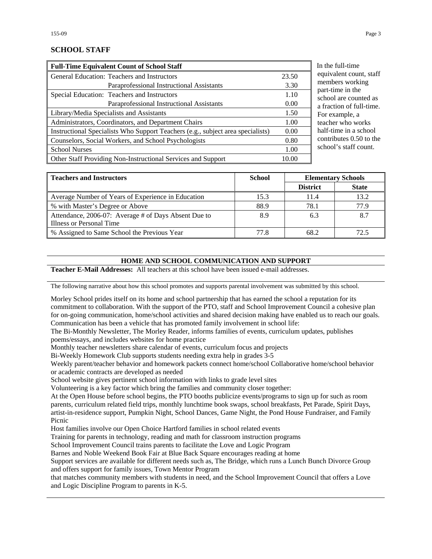## **SCHOOL STAFF**

| <b>Full-Time Equivalent Count of School Staff</b>                               |       |  |  |  |
|---------------------------------------------------------------------------------|-------|--|--|--|
| General Education: Teachers and Instructors                                     | 23.50 |  |  |  |
| Paraprofessional Instructional Assistants                                       | 3.30  |  |  |  |
| Special Education: Teachers and Instructors                                     | 1.10  |  |  |  |
| Paraprofessional Instructional Assistants                                       | 0.00  |  |  |  |
| Library/Media Specialists and Assistants                                        | 1.50  |  |  |  |
| Administrators, Coordinators, and Department Chairs                             | 1.00  |  |  |  |
| Instructional Specialists Who Support Teachers (e.g., subject area specialists) | 0.00  |  |  |  |
| Counselors, Social Workers, and School Psychologists                            | 0.80  |  |  |  |
| <b>School Nurses</b>                                                            | 1.00  |  |  |  |
| Other Staff Providing Non-Instructional Services and Support                    | 10.00 |  |  |  |

the full-time uivalent count, staff embers working rt-time in the hool are counted as fraction of full-time. or example, a acher who works delectime in a school ntributes  $0.50$  to the hool's staff count.

| <b>Teachers and Instructors</b>                      | <b>School</b><br><b>Elementary Schools</b> |                 |              |
|------------------------------------------------------|--------------------------------------------|-----------------|--------------|
|                                                      |                                            | <b>District</b> | <b>State</b> |
| Average Number of Years of Experience in Education   | 15.3                                       | 11.4            | 13.2         |
| % with Master's Degree or Above                      | 88.9                                       | 78.1            | 77.9         |
| Attendance, 2006-07: Average # of Days Absent Due to | 8.9                                        | 6.3             | 8.7          |
| Illness or Personal Time                             |                                            |                 |              |
| % Assigned to Same School the Previous Year          | 77.8                                       | 68.2            | 72.5         |

#### **HOME AND SCHOOL COMMUNICATION AND SUPPORT**

**Teacher E-Mail Addresses:** All teachers at this school have been issued e-mail addresses.

The following narrative about how this school promotes and supports parental involvement was submitted by this school.

Morley School prides itself on its home and school partnership that has earned the school a reputation for its commitment to collaboration. With the support of the PTO, staff and School Improvement Council a cohesive plan for on-going communication, home/school activities and shared decision making have enabled us to reach our goals. Communication has been a vehicle that has promoted family involvement in school life:

The Bi-Monthly Newsletter, The Morley Reader, informs families of events, curriculum updates, publishes poems/essays, and includes websites for home practice

Monthly teacher newsletters share calendar of events, curriculum focus and projects

Bi-Weekly Homework Club supports students needing extra help in grades 3-5

Weekly parent/teacher behavior and homework packets connect home/school Collaborative home/school behavior or academic contracts are developed as needed

School website gives pertinent school information with links to grade level sites

Volunteering is a key factor which bring the families and community closer together:

At the Open House before school begins, the PTO booths publicize events/programs to sign up for such as room parents, curriculum related field trips, monthly lunchtime book swaps, school breakfasts, Pet Parade, Spirit Days, artist-in-residence support, Pumpkin Night, School Dances, Game Night, the Pond House Fundraiser, and Family Picnic

Host families involve our Open Choice Hartford families in school related events

Training for parents in technology, reading and math for classroom instruction programs

School Improvement Council trains parents to facilitate the Love and Logic Program

Barnes and Noble Weekend Book Fair at Blue Back Square encourages reading at home

Support services are available for different needs such as, The Bridge, which runs a Lunch Bunch Divorce Group and offers support for family issues, Town Mentor Program

that matches community members with students in need, and the School Improvement Council that offers a Love and Logic Discipline Program to parents in K-5.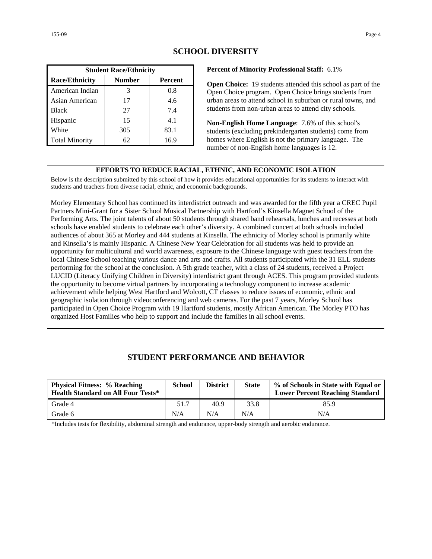| <b>Student Race/Ethnicity</b> |        |         |  |  |  |  |
|-------------------------------|--------|---------|--|--|--|--|
| <b>Race/Ethnicity</b>         | Number | Percent |  |  |  |  |
| American Indian               | 3      | 0.8     |  |  |  |  |
| Asian American                | 17     | 4.6     |  |  |  |  |
| <b>Black</b>                  | 27     | 7.4     |  |  |  |  |
| Hispanic                      | 15     | 4.1     |  |  |  |  |
| White                         | 305    | 83.1    |  |  |  |  |
| <b>Total Minority</b>         | 62     | 16.9    |  |  |  |  |

## **SCHOOL DIVERSITY**

#### **Percent of Minority Professional Staff:** 6.1%

**Open Choice:** 19 students attended this school as part of the Open Choice program. Open Choice brings students from urban areas to attend school in suburban or rural towns, and students from non-urban areas to attend city schools.

**Non-English Home Language**: 7.6% of this school's students (excluding prekindergarten students) come from homes where English is not the primary language. The number of non-English home languages is 12.

#### **EFFORTS TO REDUCE RACIAL, ETHNIC, AND ECONOMIC ISOLATION**

Below is the description submitted by this school of how it provides educational opportunities for its students to interact with students and teachers from diverse racial, ethnic, and economic backgrounds.

Morley Elementary School has continued its interdistrict outreach and was awarded for the fifth year a CREC Pupil Partners Mini-Grant for a Sister School Musical Partnership with Hartford's Kinsella Magnet School of the Performing Arts. The joint talents of about 50 students through shared band rehearsals, lunches and recesses at both schools have enabled students to celebrate each other's diversity. A combined concert at both schools included audiences of about 365 at Morley and 444 students at Kinsella. The ethnicity of Morley school is primarily white and Kinsella's is mainly Hispanic. A Chinese New Year Celebration for all students was held to provide an opportunity for multicultural and world awareness, exposure to the Chinese language with guest teachers from the local Chinese School teaching various dance and arts and crafts. All students participated with the 31 ELL students performing for the school at the conclusion. A 5th grade teacher, with a class of 24 students, received a Project LUCID (Literacy Unifying Children in Diversity) interdistrict grant through ACES. This program provided students the opportunity to become virtual partners by incorporating a technology component to increase academic achievement while helping West Hartford and Wolcott, CT classes to reduce issues of economic, ethnic and geographic isolation through videoconferencing and web cameras. For the past 7 years, Morley School has participated in Open Choice Program with 19 Hartford students, mostly African American. The Morley PTO has organized Host Families who help to support and include the families in all school events.

## **STUDENT PERFORMANCE AND BEHAVIOR**

| <b>Physical Fitness: % Reaching</b><br><b>Health Standard on All Four Tests*</b> | <b>School</b> | <b>District</b> | <b>State</b> | % of Schools in State with Equal or<br><b>Lower Percent Reaching Standard</b> |
|----------------------------------------------------------------------------------|---------------|-----------------|--------------|-------------------------------------------------------------------------------|
| Grade 4                                                                          | 51.7          | 40.9            | 33.8         | 85.9                                                                          |
| Grade 6                                                                          | N/A           | N/A             | N/A          | N/A                                                                           |

\*Includes tests for flexibility, abdominal strength and endurance, upper-body strength and aerobic endurance.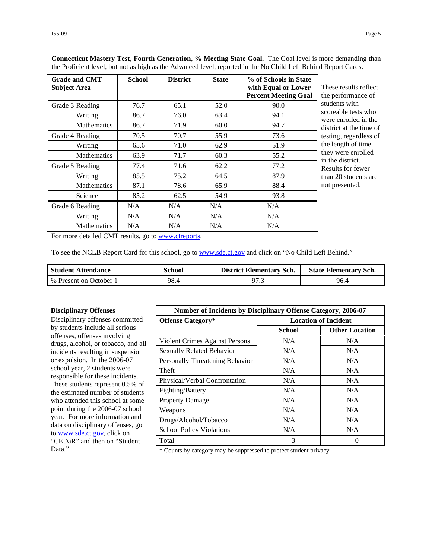| <b>Grade and CMT</b><br><b>Subject Area</b> | <b>School</b> | <b>District</b> | <b>State</b> | % of Schools in State<br>with Equal or Lower<br><b>Percent Meeting Goal</b> | These results reflect<br>the performance of |
|---------------------------------------------|---------------|-----------------|--------------|-----------------------------------------------------------------------------|---------------------------------------------|
| Grade 3 Reading                             | 76.7          | 65.1            | 52.0         | 90.0                                                                        | students with                               |
| Writing                                     | 86.7          | 76.0            | 63.4         | 94.1                                                                        | scoreable tests who<br>were enrolled in the |
| <b>Mathematics</b>                          | 86.7          | 71.9            | 60.0         | 94.7                                                                        | district at the time of                     |
| Grade 4 Reading                             | 70.5          | 70.7            | 55.9         | 73.6                                                                        | testing, regardless of                      |
| Writing                                     | 65.6          | 71.0            | 62.9         | 51.9                                                                        | the length of time                          |
| <b>Mathematics</b>                          | 63.9          | 71.7            | 60.3         | 55.2                                                                        | they were enrolled<br>in the district.      |
| Grade 5 Reading                             | 77.4          | 71.6            | 62.2         | 77.2                                                                        | Results for fewer                           |
| Writing                                     | 85.5          | 75.2            | 64.5         | 87.9                                                                        | than 20 students are                        |
| <b>Mathematics</b>                          | 87.1          | 78.6            | 65.9         | 88.4                                                                        | not presented.                              |
| Science                                     | 85.2          | 62.5            | 54.9         | 93.8                                                                        |                                             |
| Grade 6 Reading                             | N/A           | N/A             | N/A          | N/A                                                                         |                                             |
| Writing                                     | N/A           | N/A             | N/A          | N/A                                                                         |                                             |
| <b>Mathematics</b>                          | N/A           | N/A             | N/A          | N/A                                                                         |                                             |

**Connecticut Mastery Test, Fourth Generation, % Meeting State Goal.** The Goal level is more demanding than the Proficient level, but not as high as the Advanced level, reported in the No Child Left Behind Report Cards.

For more detailed CMT results, go to [www.ctreports.](http://www.ctreports/)

To see the NCLB Report Card for this school, go to [www.sde.ct.gov](http://www.sde.ct.gov/) and click on "No Child Left Behind."

| <b>Student Attendance</b> | School | <b>District Elementary Sch.</b> | <b>State Elementary Sch.</b> |
|---------------------------|--------|---------------------------------|------------------------------|
| % Present on October 1    | 98.4   | 97.3                            | 96.4                         |

#### **Disciplinary Offenses**

Disciplinary offenses committed by students include all serious offenses, offenses involving drugs, alcohol, or tobacco, and all incidents resulting in suspension or expulsion. In the 2006-07 school year, 2 students were responsible for these incidents. These students represent 0.5% of the estimated number of students who attended this school at some point during the 2006-07 school year. For more information and data on disciplinary offenses, go to [www.sde.ct.gov](http://www.sde.ct.gov/), click on "CEDaR" and then on "Student

| <b>Number of Incidents by Disciplinary Offense Category, 2006-07</b> |                             |                       |  |
|----------------------------------------------------------------------|-----------------------------|-----------------------|--|
| <b>Offense Category*</b>                                             | <b>Location of Incident</b> |                       |  |
|                                                                      | <b>School</b>               | <b>Other Location</b> |  |
| Violent Crimes Against Persons                                       | N/A                         | N/A                   |  |
| <b>Sexually Related Behavior</b>                                     | N/A                         | N/A                   |  |
| Personally Threatening Behavior                                      | N/A                         | N/A                   |  |
| Theft                                                                | N/A                         | N/A                   |  |
| Physical/Verbal Confrontation                                        | N/A                         | N/A                   |  |
| Fighting/Battery                                                     | N/A                         | N/A                   |  |
| <b>Property Damage</b>                                               | N/A                         | N/A                   |  |
| Weapons                                                              | N/A                         | N/A                   |  |
| Drugs/Alcohol/Tobacco                                                | N/A                         | N/A                   |  |
| <b>School Policy Violations</b>                                      | N/A                         | N/A                   |  |
| Total                                                                | 3                           | 0                     |  |

Data." \* Counts by category may be suppressed to protect student privacy.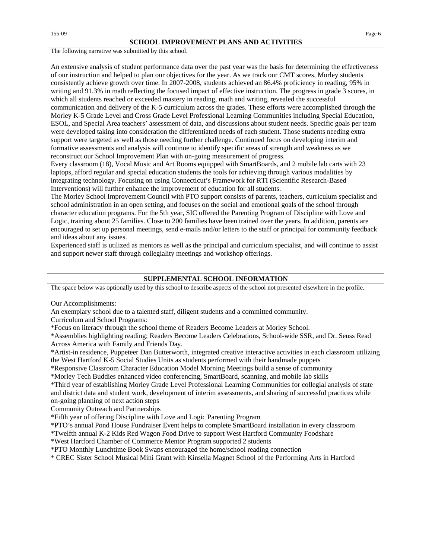The following narrative was submitted by this school.

An extensive analysis of student performance data over the past year was the basis for determining the effectiveness of our instruction and helped to plan our objectives for the year. As we track our CMT scores, Morley students consistently achieve growth over time. In 2007-2008, students achieved an 86.4% proficiency in reading, 95% in writing and 91.3% in math reflecting the focused impact of effective instruction. The progress in grade 3 scores, in which all students reached or exceeded mastery in reading, math and writing, revealed the successful communication and delivery of the K-5 curriculum across the grades. These efforts were accomplished through the Morley K-5 Grade Level and Cross Grade Level Professional Learning Communities including Special Education, ESOL, and Special Area teachers' assessment of data, and discussions about student needs. Specific goals per team were developed taking into consideration the differentiated needs of each student. Those students needing extra support were targeted as well as those needing further challenge. Continued focus on developing interim and formative assessments and analysis will continue to identify specific areas of strength and weakness as we reconstruct our School Improvement Plan with on-going measurement of progress.

Every classroom (18), Vocal Music and Art Rooms equipped with SmartBoards, and 2 mobile lab carts with 23 laptops, afford regular and special education students the tools for achieving through various modalities by integrating technology. Focusing on using Connecticut's Framework for RTI (Scientific Research-Based Interventions) will further enhance the improvement of education for all students.

The Morley School Improvement Council with PTO support consists of parents, teachers, curriculum specialist and school administration in an open setting, and focuses on the social and emotional goals of the school through character education programs. For the 5th year, SIC offered the Parenting Program of Discipline with Love and Logic, training about 25 families. Close to 200 families have been trained over the years. In addition, parents are encouraged to set up personal meetings, send e-mails and/or letters to the staff or principal for community feedback and ideas about any issues.

Experienced staff is utilized as mentors as well as the principal and curriculum specialist, and will continue to assist and support newer staff through collegiality meetings and workshop offerings.

#### **SUPPLEMENTAL SCHOOL INFORMATION**

The space below was optionally used by this school to describe aspects of the school not presented elsewhere in the profile.

Our Accomplishments:

An exemplary school due to a talented staff, diligent students and a committed community.

Curriculum and School Programs:

\*Focus on literacy through the school theme of Readers Become Leaders at Morley School.

\*Assemblies highlighting reading; Readers Become Leaders Celebrations, School-wide SSR, and Dr. Seuss Read Across America with Family and Friends Day.

\*Artist-in residence, Puppeteer Dan Butterworth, integrated creative interactive activities in each classroom utilizing the West Hartford K-5 Social Studies Units as students performed with their handmade puppets

\*Responsive Classroom Character Education Model Morning Meetings build a sense of community

\*Morley Tech Buddies enhanced video conferencing, SmartBoard, scanning, and mobile lab skills

\*Third year of establishing Morley Grade Level Professional Learning Communities for collegial analysis of state and district data and student work, development of interim assessments, and sharing of successful practices while on-going planning of next action steps

Community Outreach and Partnerships

\*Fifth year of offering Discipline with Love and Logic Parenting Program

\*PTO's annual Pond House Fundraiser Event helps to complete SmartBoard installation in every classroom

\*Twelfth annual K-2 Kids Red Wagon Food Drive to support West Hartford Community Foodshare

\*West Hartford Chamber of Commerce Mentor Program supported 2 students

\*PTO Monthly Lunchtime Book Swaps encouraged the home/school reading connection

\* CREC Sister School Musical Mini Grant with Kinsella Magnet School of the Performing Arts in Hartford